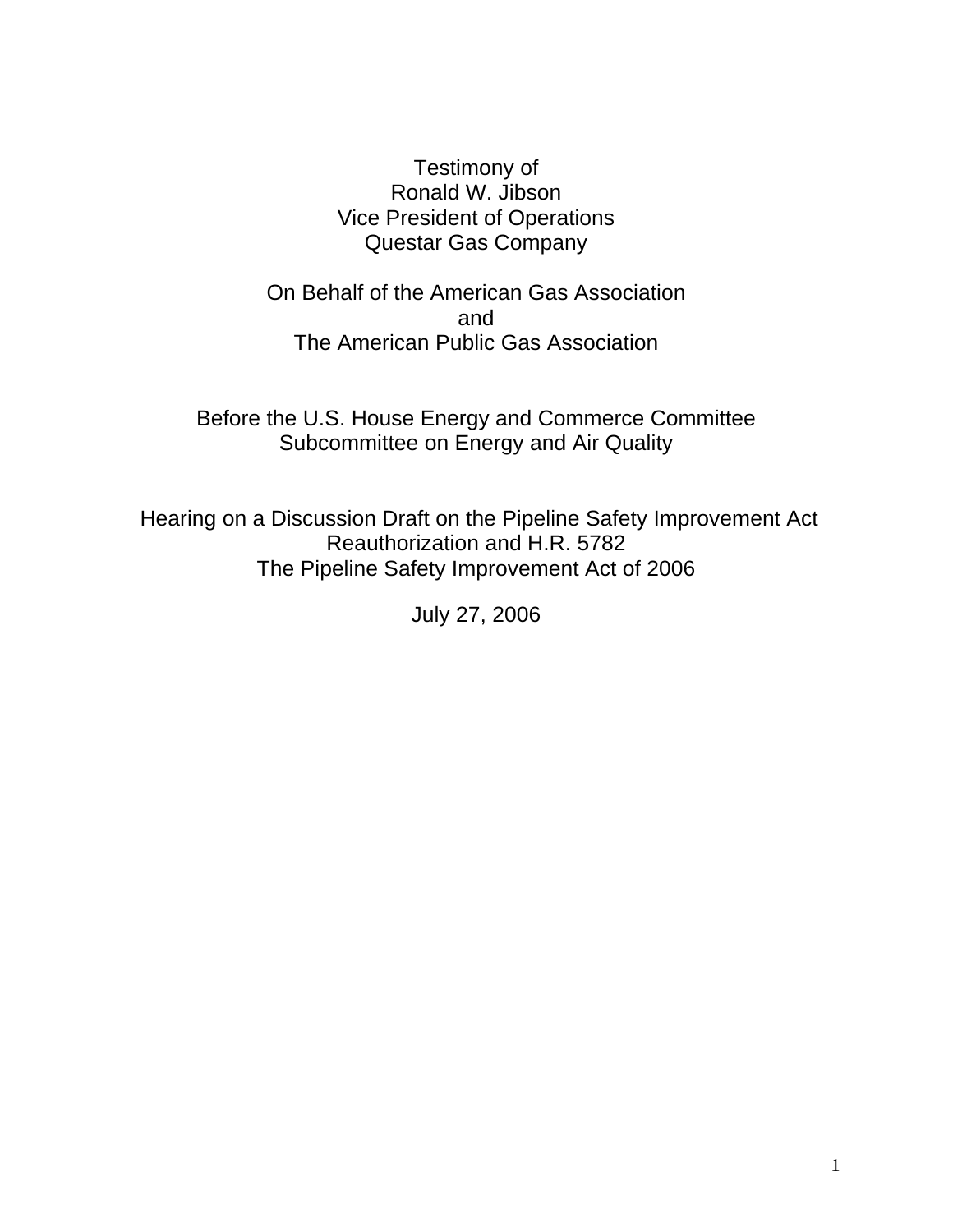#### Testimony of Ronald W. Jibson Vice President of Operations Questar Gas Company

On Behalf of the American Gas Association and The American Public Gas Association

Before the U.S. House Energy and Commerce Committee Subcommittee on Energy and Air Quality

 Hearing on a Discussion Draft on the Pipeline Safety Improvement Act Reauthorization and H.R. 5782 The Pipeline Safety Improvement Act of 2006

July 27, 2006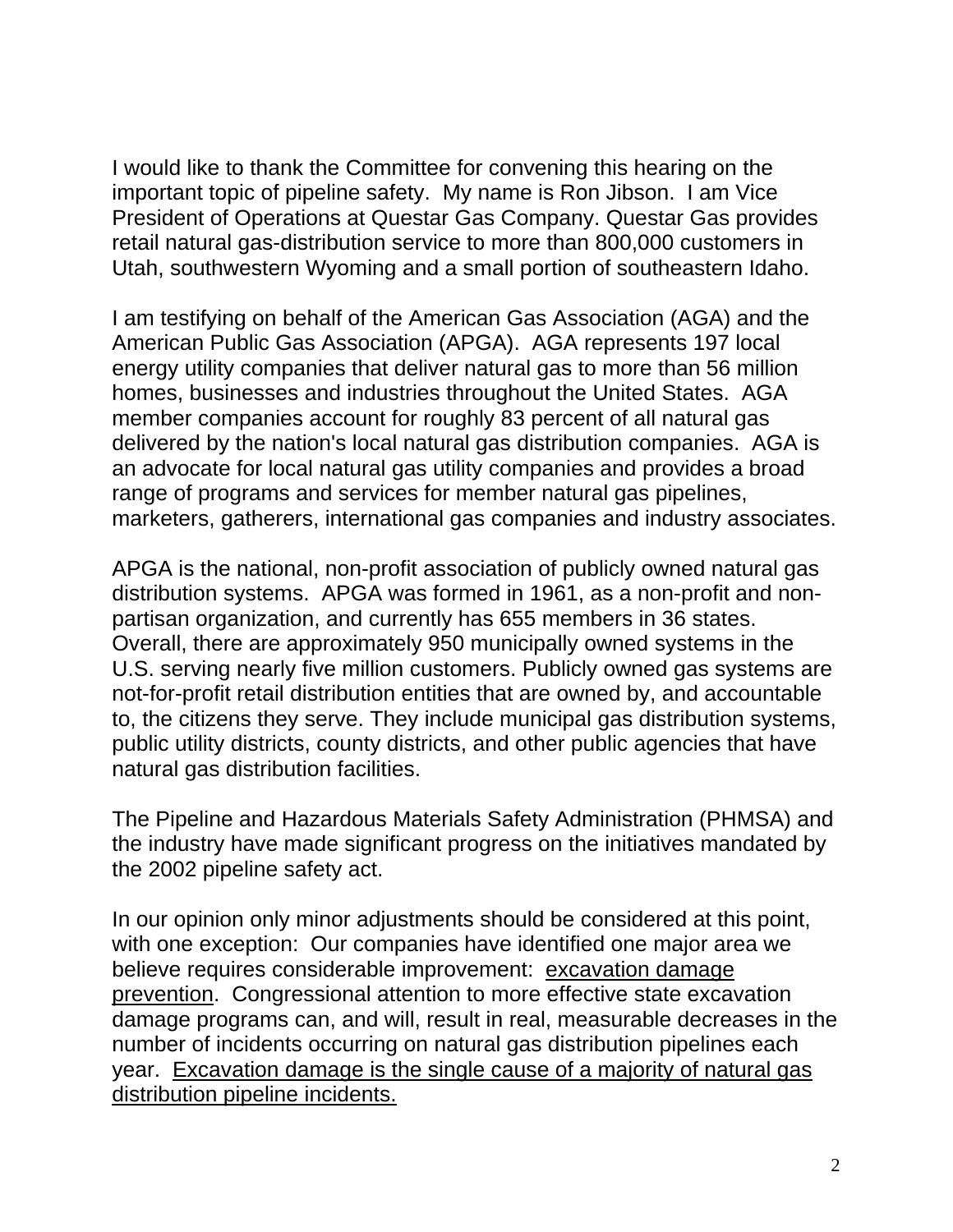I would like to thank the Committee for convening this hearing on the important topic of pipeline safety. My name is Ron Jibson. I am Vice President of Operations at Questar Gas Company. Questar Gas provides retail natural gas-distribution service to more than 800,000 customers in Utah, southwestern Wyoming and a small portion of southeastern Idaho.

I am testifying on behalf of the American Gas Association (AGA) and the American Public Gas Association (APGA). AGA represents 197 local energy utility companies that deliver natural gas to more than 56 million homes, businesses and industries throughout the United States. AGA member companies account for roughly 83 percent of all natural gas delivered by the nation's local natural gas distribution companies. AGA is an advocate for local natural gas utility companies and provides a broad range of programs and services for member natural gas pipelines, marketers, gatherers, international gas companies and industry associates.

APGA is the national, non-profit association of publicly owned natural gas distribution systems. APGA was formed in 1961, as a non-profit and nonpartisan organization, and currently has 655 members in 36 states. Overall, there are approximately 950 municipally owned systems in the U.S. serving nearly five million customers. Publicly owned gas systems are not-for-profit retail distribution entities that are owned by, and accountable to, the citizens they serve. They include municipal gas distribution systems, public utility districts, county districts, and other public agencies that have natural gas distribution facilities.

The Pipeline and Hazardous Materials Safety Administration (PHMSA) and the industry have made significant progress on the initiatives mandated by the 2002 pipeline safety act.

In our opinion only minor adjustments should be considered at this point, with one exception: Our companies have identified one major area we believe requires considerable improvement: excavation damage prevention. Congressional attention to more effective state excavation damage programs can, and will, result in real, measurable decreases in the number of incidents occurring on natural gas distribution pipelines each year. Excavation damage is the single cause of a majority of natural gas distribution pipeline incidents.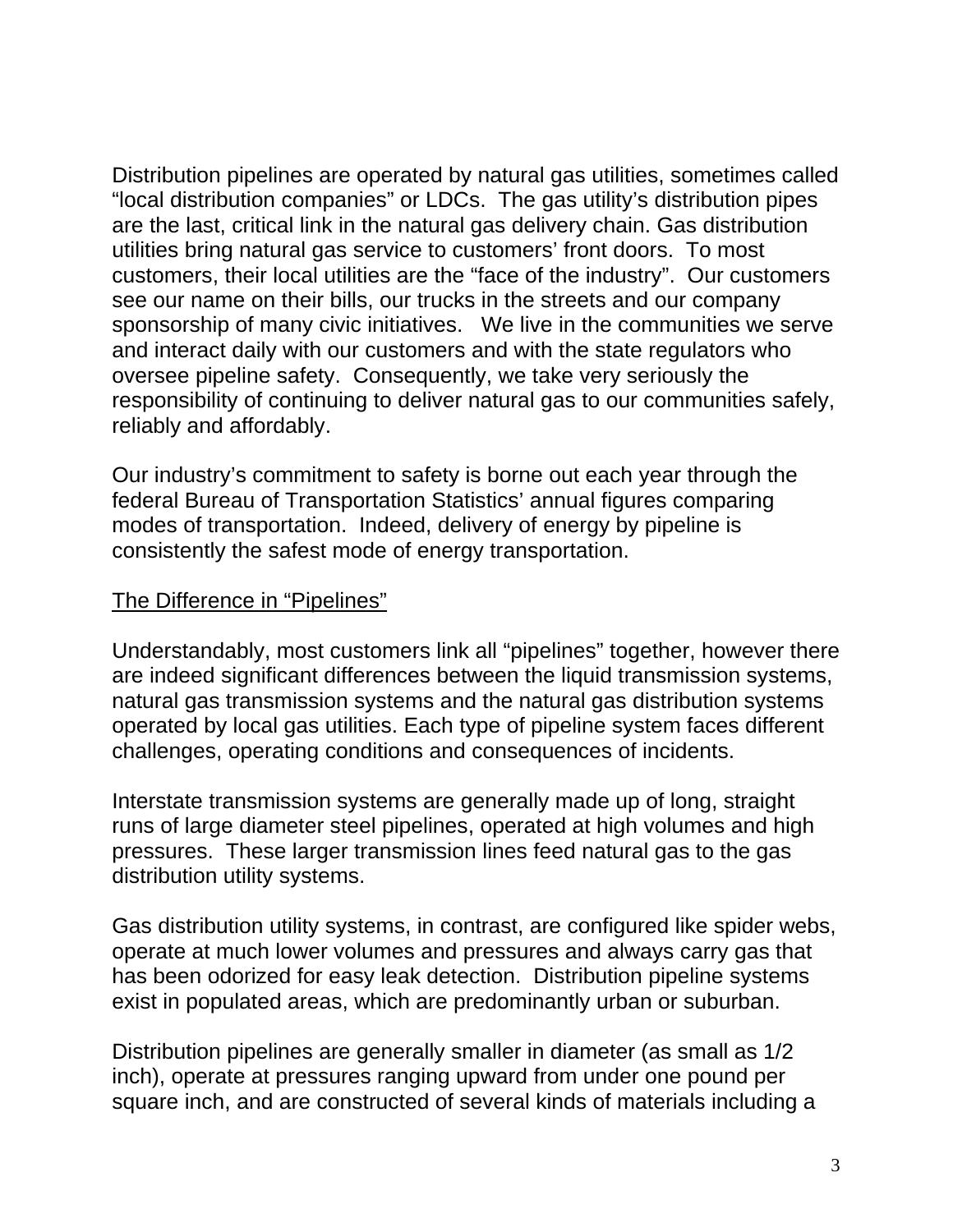Distribution pipelines are operated by natural gas utilities, sometimes called "local distribution companies" or LDCs. The gas utility's distribution pipes are the last, critical link in the natural gas delivery chain. Gas distribution utilities bring natural gas service to customers' front doors. To most customers, their local utilities are the "face of the industry". Our customers see our name on their bills, our trucks in the streets and our company sponsorship of many civic initiatives. We live in the communities we serve and interact daily with our customers and with the state regulators who oversee pipeline safety. Consequently, we take very seriously the responsibility of continuing to deliver natural gas to our communities safely, reliably and affordably.

Our industry's commitment to safety is borne out each year through the federal Bureau of Transportation Statistics' annual figures comparing modes of transportation. Indeed, delivery of energy by pipeline is consistently the safest mode of energy transportation.

#### The Difference in "Pipelines"

Understandably, most customers link all "pipelines" together, however there are indeed significant differences between the liquid transmission systems, natural gas transmission systems and the natural gas distribution systems operated by local gas utilities. Each type of pipeline system faces different challenges, operating conditions and consequences of incidents.

Interstate transmission systems are generally made up of long, straight runs of large diameter steel pipelines, operated at high volumes and high pressures. These larger transmission lines feed natural gas to the gas distribution utility systems.

Gas distribution utility systems, in contrast, are configured like spider webs, operate at much lower volumes and pressures and always carry gas that has been odorized for easy leak detection. Distribution pipeline systems exist in populated areas, which are predominantly urban or suburban.

Distribution pipelines are generally smaller in diameter (as small as 1/2 inch), operate at pressures ranging upward from under one pound per square inch, and are constructed of several kinds of materials including a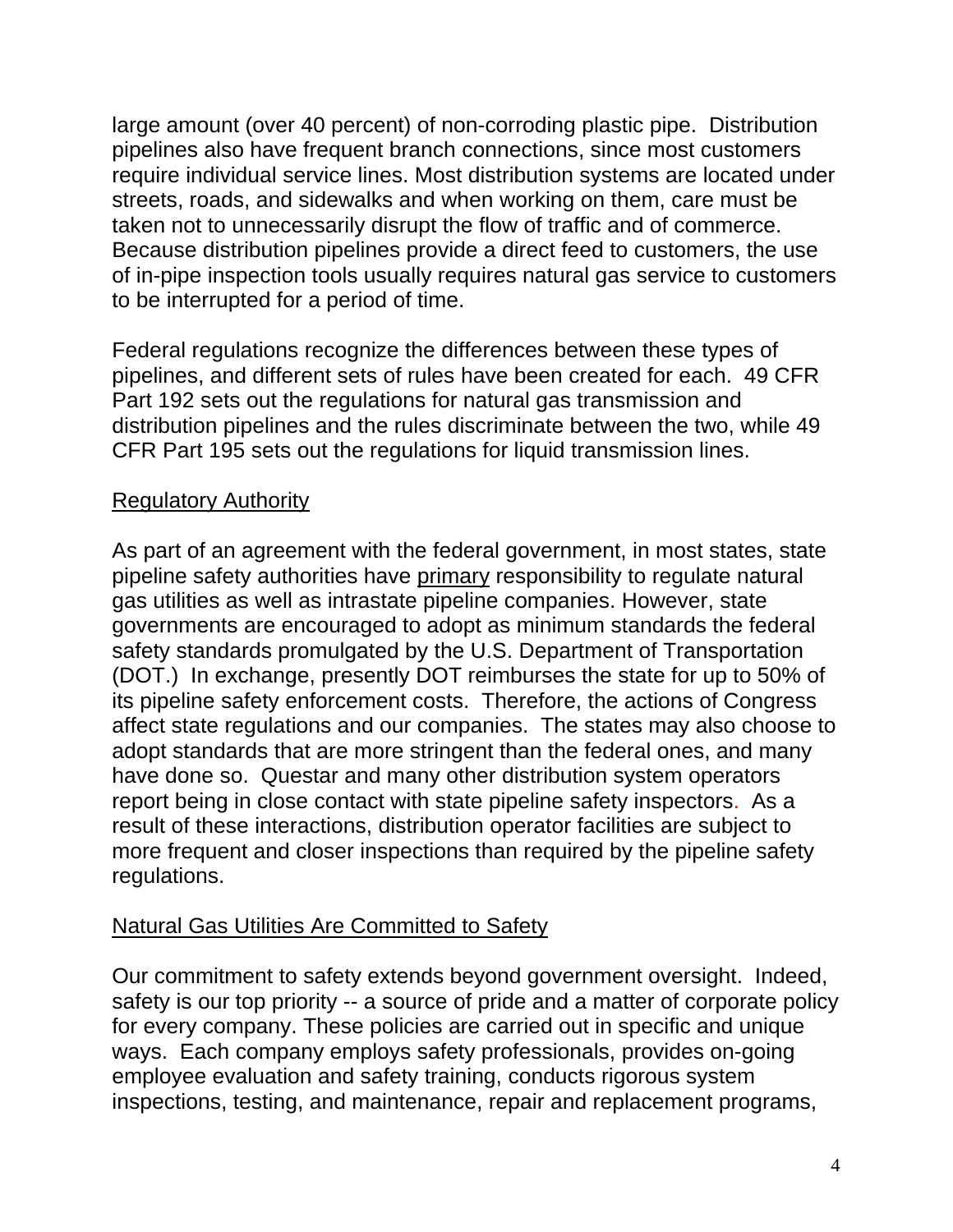large amount (over 40 percent) of non-corroding plastic pipe. Distribution pipelines also have frequent branch connections, since most customers require individual service lines. Most distribution systems are located under streets, roads, and sidewalks and when working on them, care must be taken not to unnecessarily disrupt the flow of traffic and of commerce. Because distribution pipelines provide a direct feed to customers, the use of in-pipe inspection tools usually requires natural gas service to customers to be interrupted for a period of time.

Federal regulations recognize the differences between these types of pipelines, and different sets of rules have been created for each. 49 CFR Part 192 sets out the regulations for natural gas transmission and distribution pipelines and the rules discriminate between the two, while 49 CFR Part 195 sets out the regulations for liquid transmission lines.

#### Regulatory Authority

As part of an agreement with the federal government, in most states, state pipeline safety authorities have primary responsibility to regulate natural gas utilities as well as intrastate pipeline companies. However, state governments are encouraged to adopt as minimum standards the federal safety standards promulgated by the U.S. Department of Transportation (DOT.) In exchange, presently DOT reimburses the state for up to 50% of its pipeline safety enforcement costs. Therefore, the actions of Congress affect state regulations and our companies. The states may also choose to adopt standards that are more stringent than the federal ones, and many have done so. Questar and many other distribution system operators report being in close contact with state pipeline safety inspectors. As a result of these interactions, distribution operator facilities are subject to more frequent and closer inspections than required by the pipeline safety regulations.

#### Natural Gas Utilities Are Committed to Safety

Our commitment to safety extends beyond government oversight. Indeed, safety is our top priority -- a source of pride and a matter of corporate policy for every company. These policies are carried out in specific and unique ways. Each company employs safety professionals, provides on-going employee evaluation and safety training, conducts rigorous system inspections, testing, and maintenance, repair and replacement programs,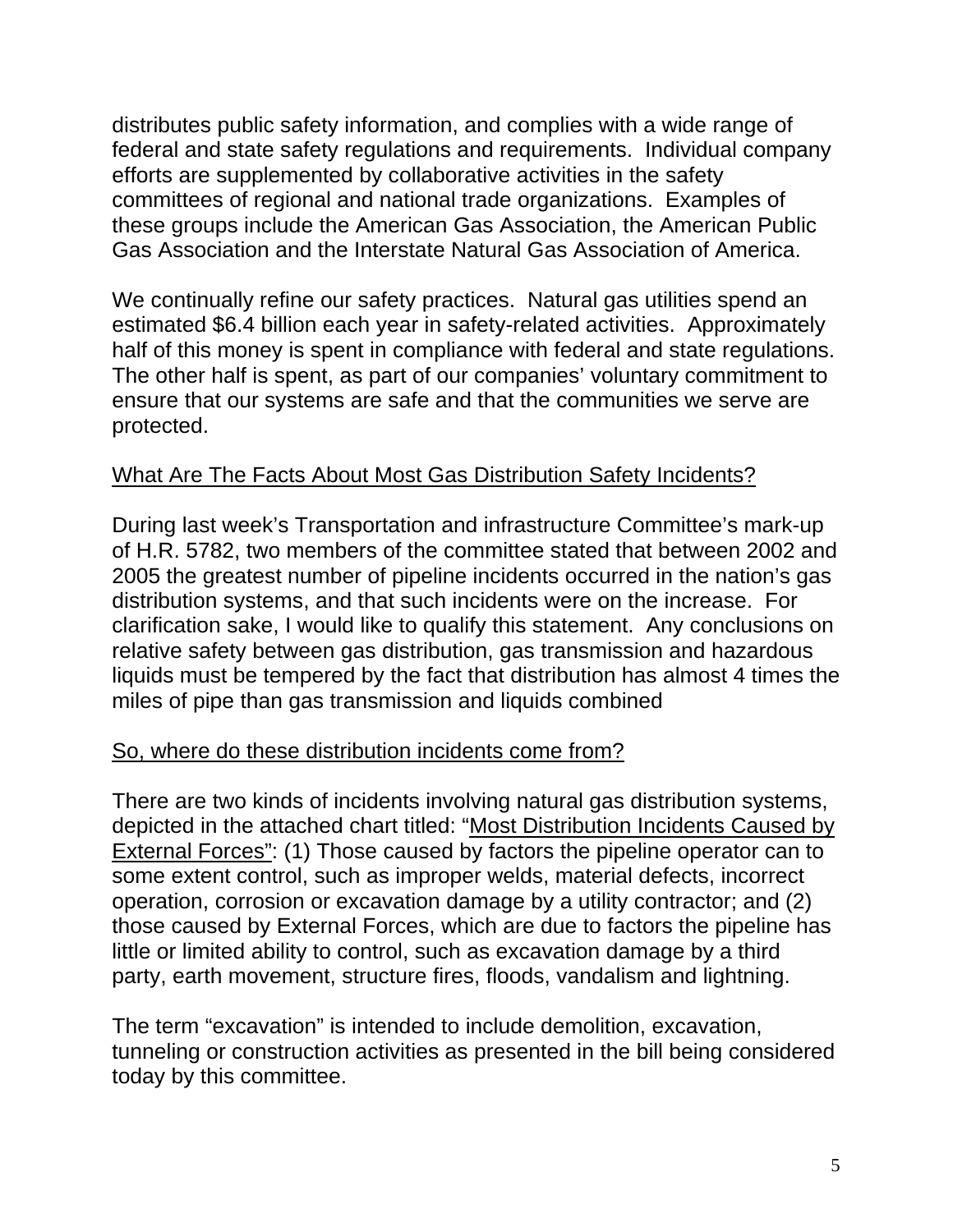distributes public safety information, and complies with a wide range of federal and state safety regulations and requirements. Individual company efforts are supplemented by collaborative activities in the safety committees of regional and national trade organizations. Examples of these groups include the American Gas Association, the American Public Gas Association and the Interstate Natural Gas Association of America.

We continually refine our safety practices. Natural gas utilities spend an estimated \$6.4 billion each year in safety-related activities. Approximately half of this money is spent in compliance with federal and state regulations. The other half is spent, as part of our companies' voluntary commitment to ensure that our systems are safe and that the communities we serve are protected.

#### What Are The Facts About Most Gas Distribution Safety Incidents?

During last week's Transportation and infrastructure Committee's mark-up of H.R. 5782, two members of the committee stated that between 2002 and 2005 the greatest number of pipeline incidents occurred in the nation's gas distribution systems, and that such incidents were on the increase. For clarification sake, I would like to qualify this statement. Any conclusions on relative safety between gas distribution, gas transmission and hazardous liquids must be tempered by the fact that distribution has almost 4 times the miles of pipe than gas transmission and liquids combined

#### So, where do these distribution incidents come from?

There are two kinds of incidents involving natural gas distribution systems, depicted in the attached chart titled: "Most Distribution Incidents Caused by External Forces": (1) Those caused by factors the pipeline operator can to some extent control, such as improper welds, material defects, incorrect operation, corrosion or excavation damage by a utility contractor; and (2) those caused by External Forces, which are due to factors the pipeline has little or limited ability to control, such as excavation damage by a third party, earth movement, structure fires, floods, vandalism and lightning.

The term "excavation" is intended to include demolition, excavation, tunneling or construction activities as presented in the bill being considered today by this committee.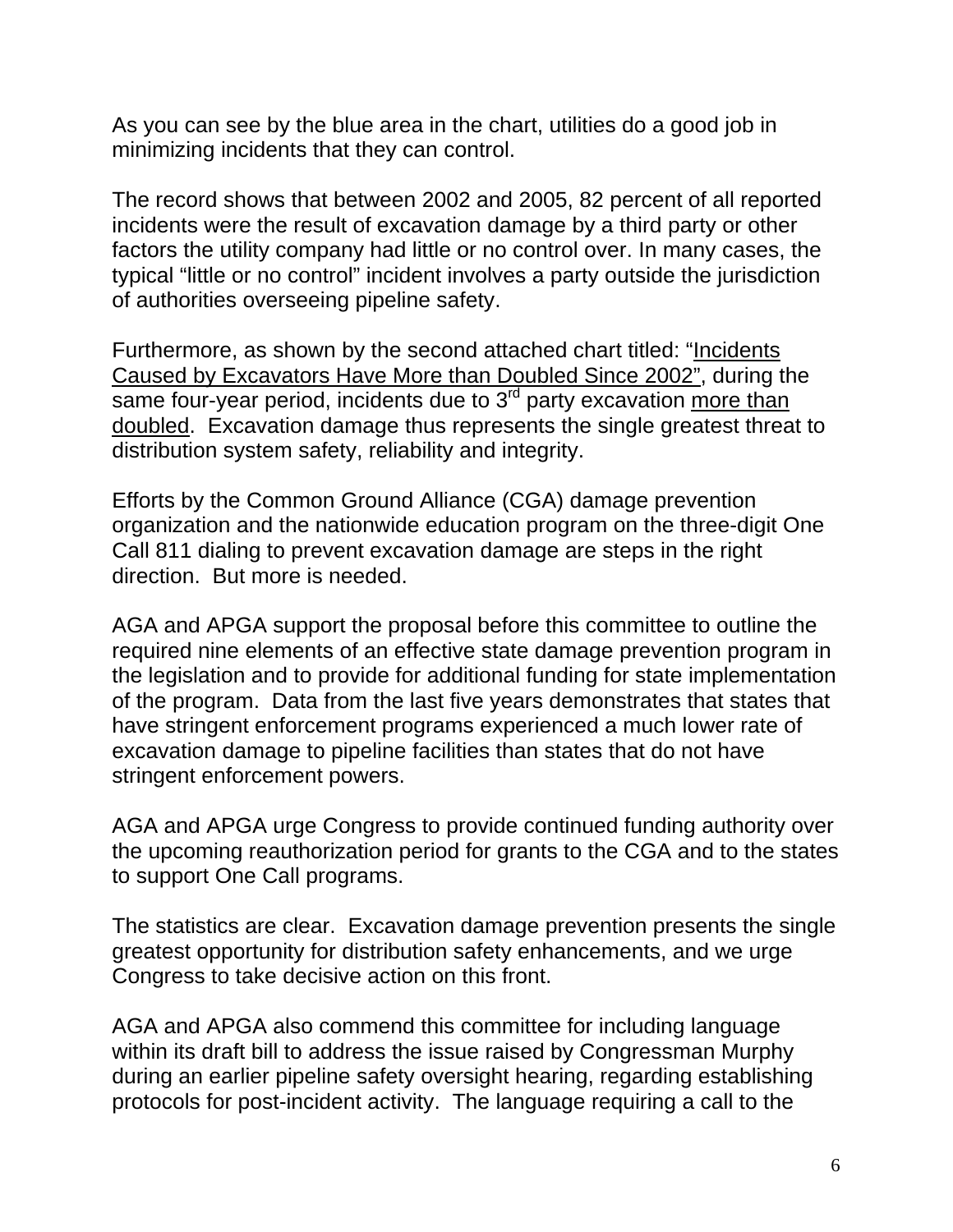As you can see by the blue area in the chart, utilities do a good job in minimizing incidents that they can control.

The record shows that between 2002 and 2005, 82 percent of all reported incidents were the result of excavation damage by a third party or other factors the utility company had little or no control over. In many cases, the typical "little or no control" incident involves a party outside the jurisdiction of authorities overseeing pipeline safety.

Furthermore, as shown by the second attached chart titled: "Incidents Caused by Excavators Have More than Doubled Since 2002", during the same four-year period, incidents due to  $3<sup>rd</sup>$  party excavation more than doubled. Excavation damage thus represents the single greatest threat to distribution system safety, reliability and integrity.

Efforts by the Common Ground Alliance (CGA) damage prevention organization and the nationwide education program on the three-digit One Call 811 dialing to prevent excavation damage are steps in the right direction. But more is needed.

AGA and APGA support the proposal before this committee to outline the required nine elements of an effective state damage prevention program in the legislation and to provide for additional funding for state implementation of the program. Data from the last five years demonstrates that states that have stringent enforcement programs experienced a much lower rate of excavation damage to pipeline facilities than states that do not have stringent enforcement powers.

AGA and APGA urge Congress to provide continued funding authority over the upcoming reauthorization period for grants to the CGA and to the states to support One Call programs.

The statistics are clear. Excavation damage prevention presents the single greatest opportunity for distribution safety enhancements, and we urge Congress to take decisive action on this front.

AGA and APGA also commend this committee for including language within its draft bill to address the issue raised by Congressman Murphy during an earlier pipeline safety oversight hearing, regarding establishing protocols for post-incident activity. The language requiring a call to the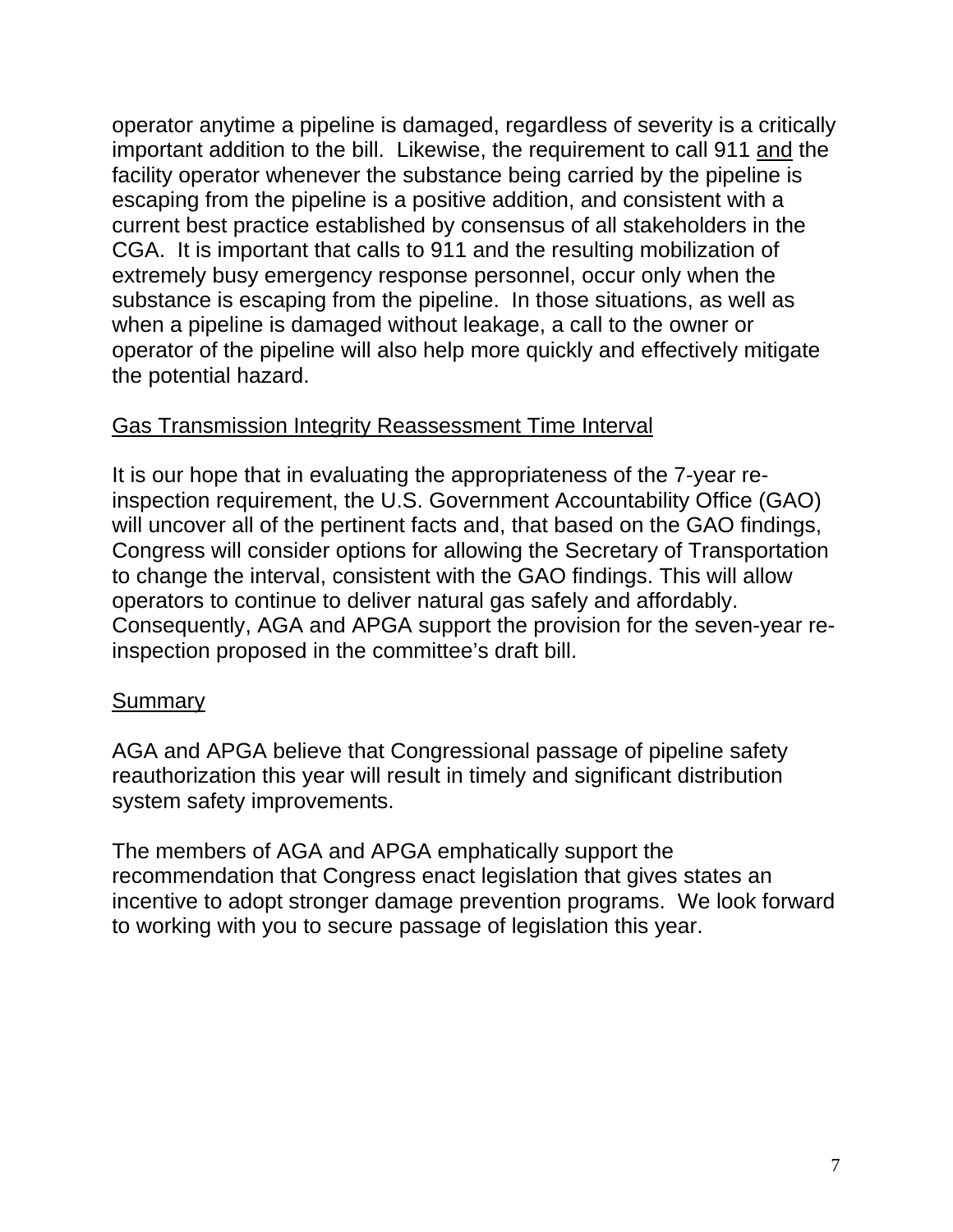operator anytime a pipeline is damaged, regardless of severity is a critically important addition to the bill. Likewise, the requirement to call 911 and the facility operator whenever the substance being carried by the pipeline is escaping from the pipeline is a positive addition, and consistent with a current best practice established by consensus of all stakeholders in the CGA. It is important that calls to 911 and the resulting mobilization of extremely busy emergency response personnel, occur only when the substance is escaping from the pipeline. In those situations, as well as when a pipeline is damaged without leakage, a call to the owner or operator of the pipeline will also help more quickly and effectively mitigate the potential hazard.

#### Gas Transmission Integrity Reassessment Time Interval

It is our hope that in evaluating the appropriateness of the 7-year reinspection requirement, the U.S. Government Accountability Office (GAO) will uncover all of the pertinent facts and, that based on the GAO findings, Congress will consider options for allowing the Secretary of Transportation to change the interval, consistent with the GAO findings. This will allow operators to continue to deliver natural gas safely and affordably. Consequently, AGA and APGA support the provision for the seven-year reinspection proposed in the committee's draft bill.

#### **Summary**

AGA and APGA believe that Congressional passage of pipeline safety reauthorization this year will result in timely and significant distribution system safety improvements.

The members of AGA and APGA emphatically support the recommendation that Congress enact legislation that gives states an incentive to adopt stronger damage prevention programs. We look forward to working with you to secure passage of legislation this year.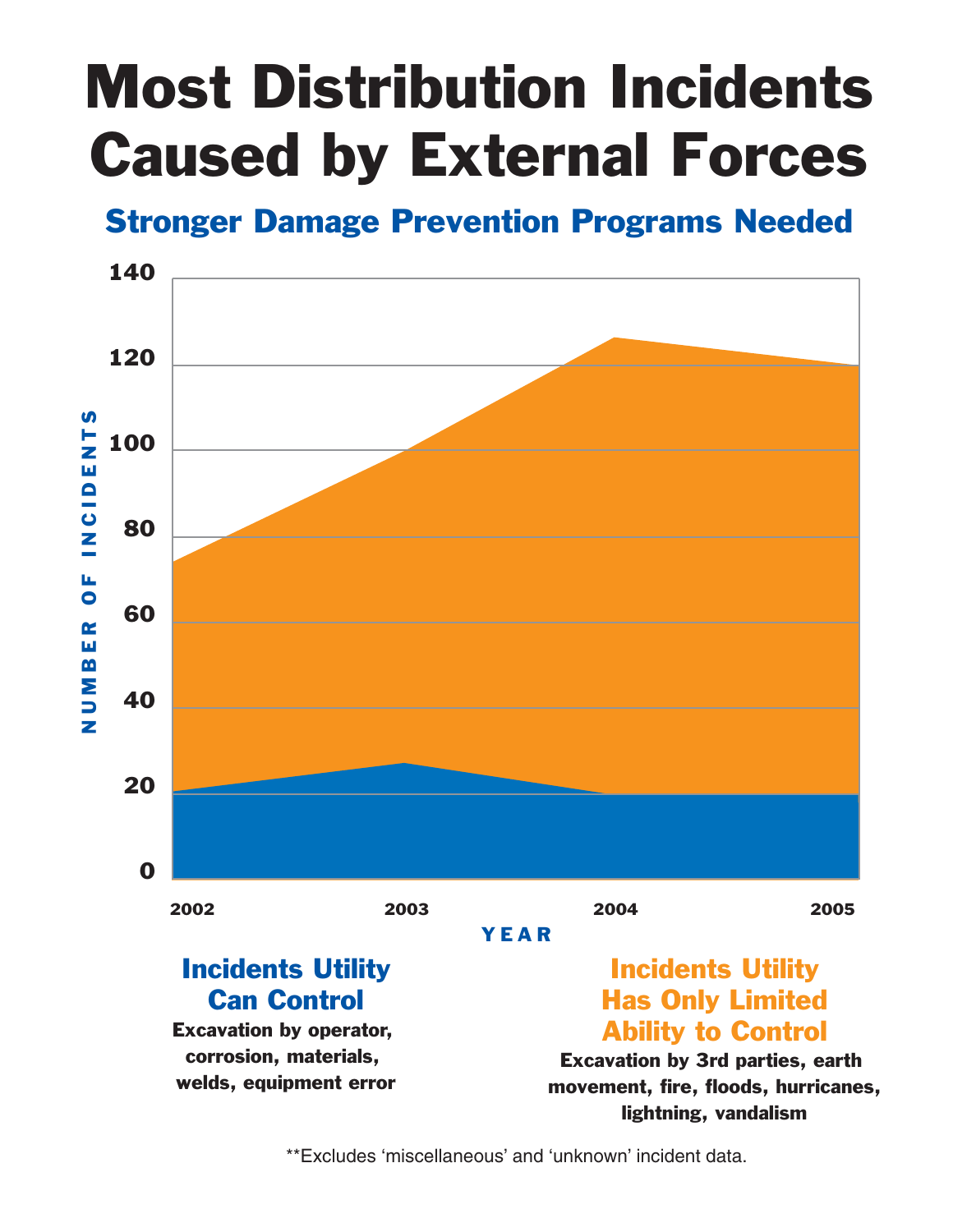# Most Distribution Incidents Caused by External Forces

### Stronger Damage Prevention Programs Needed



\*\*Excludes 'miscellaneous' and 'unknown' incident data.